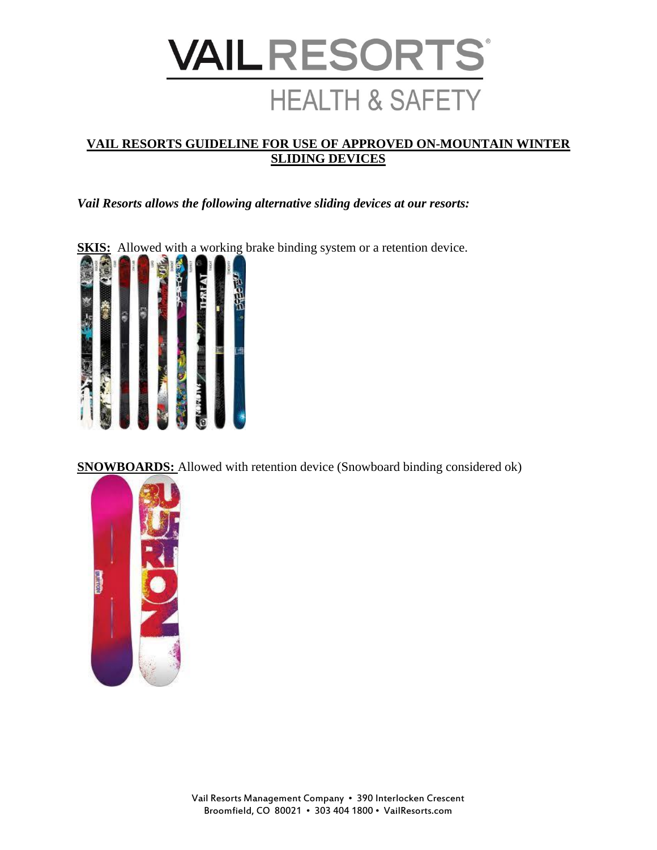

## **VAIL RESORTS GUIDELINE FOR USE OF APPROVED ON-MOUNTAIN WINTER SLIDING DEVICES**

*Vail Resorts allows the following alternative sliding devices at our resorts:*



**SNOWBOARDS:** Allowed with retention device (Snowboard binding considered ok)

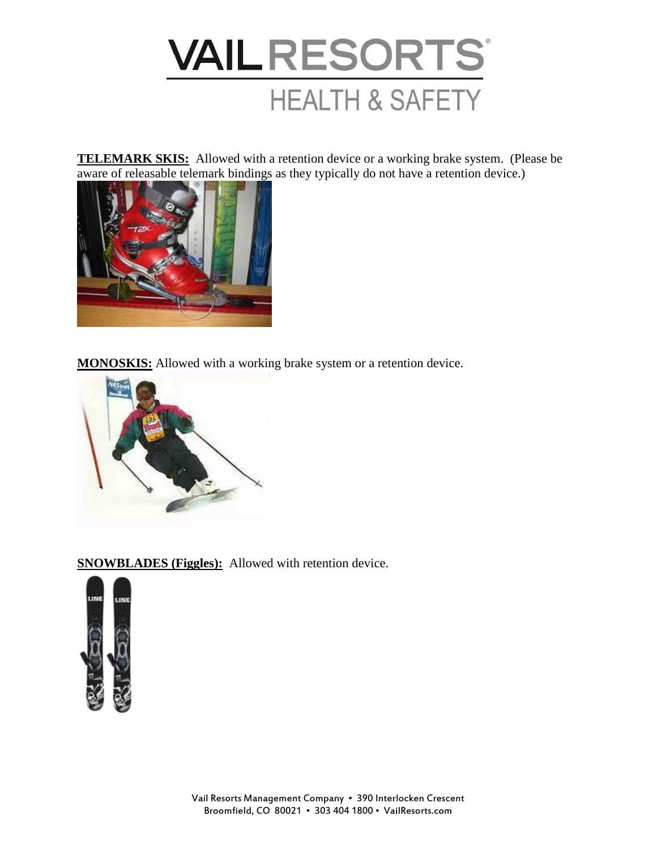

**TELEMARK SKIS:** Allowed with a retention device or a working brake system. (Please be aware of releasable telemark bindings as they typically do not have a retention device.)



**MONOSKIS:** Allowed with a working brake system or a retention device.



**SNOWBLADES (Figgles):** Allowed with retention device.

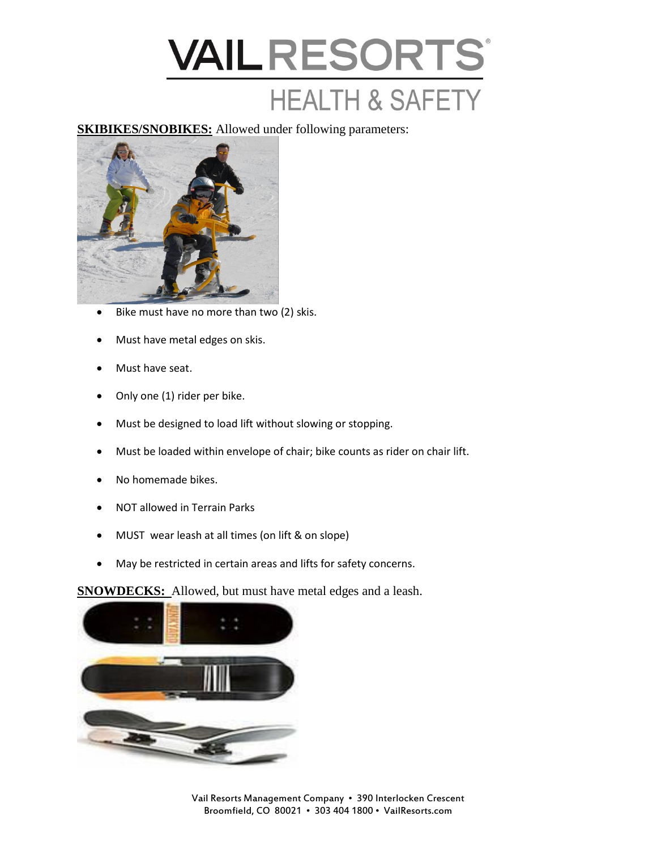

**SKIBIKES/SNOBIKES:** Allowed under following parameters:



- Bike must have no more than two (2) skis.
- Must have metal edges on skis.
- Must have seat.
- Only one (1) rider per bike.
- Must be designed to load lift without slowing or stopping.
- Must be loaded within envelope of chair; bike counts as rider on chair lift.
- No homemade bikes.
- NOT allowed in Terrain Parks
- MUST wear leash at all times (on lift & on slope)
- May be restricted in certain areas and lifts for safety concerns.

**SNOWDECKS:** Allowed, but must have metal edges and a leash.

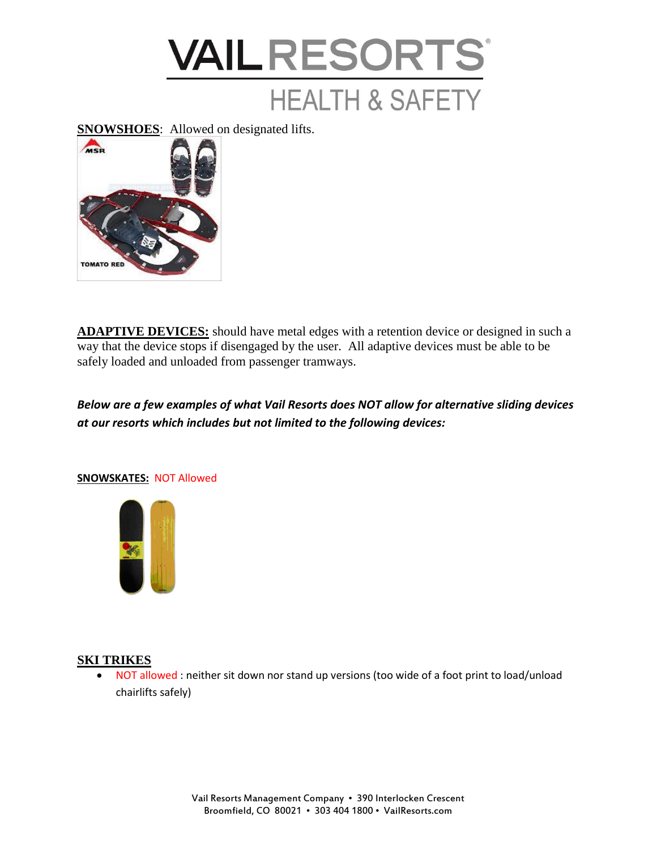

**SNOWSHOES**: Allowed on designated lifts.



**ADAPTIVE DEVICES:** should have metal edges with a retention device or designed in such a way that the device stops if disengaged by the user. All adaptive devices must be able to be safely loaded and unloaded from passenger tramways.

*Below are a few examples of what Vail Resorts does NOT allow for alternative sliding devices at our resorts which includes but not limited to the following devices:*



## **SNOWSKATES:** NOT Allowed

## **SKI TRIKES**

• NOT allowed : neither sit down nor stand up versions (too wide of a foot print to load/unload chairlifts safely)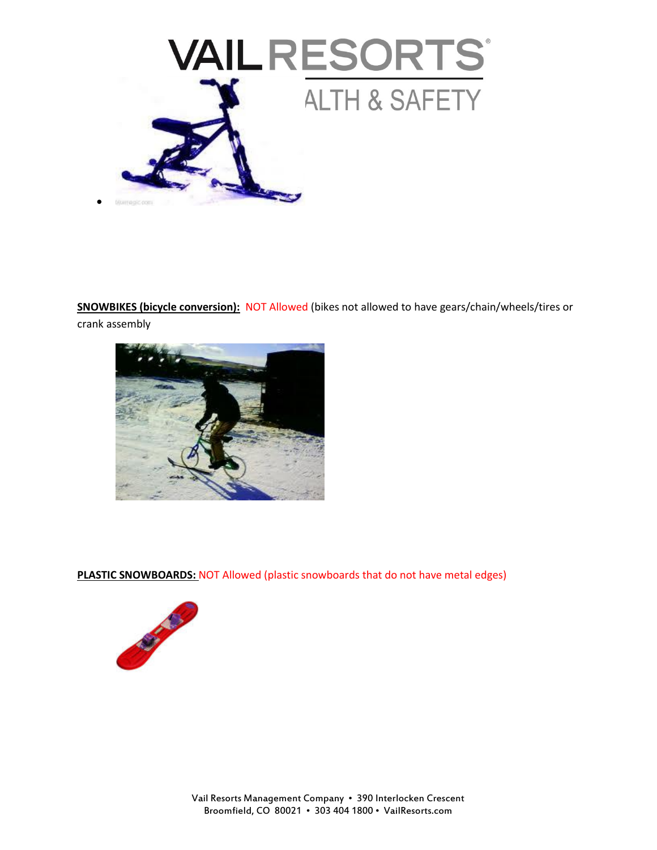

**SNOWBIKES (bicycle conversion):** NOT Allowed (bikes not allowed to have gears/chain/wheels/tires or crank assembly



**PLASTIC SNOWBOARDS: NOT Allowed (plastic snowboards that do not have metal edges)** 

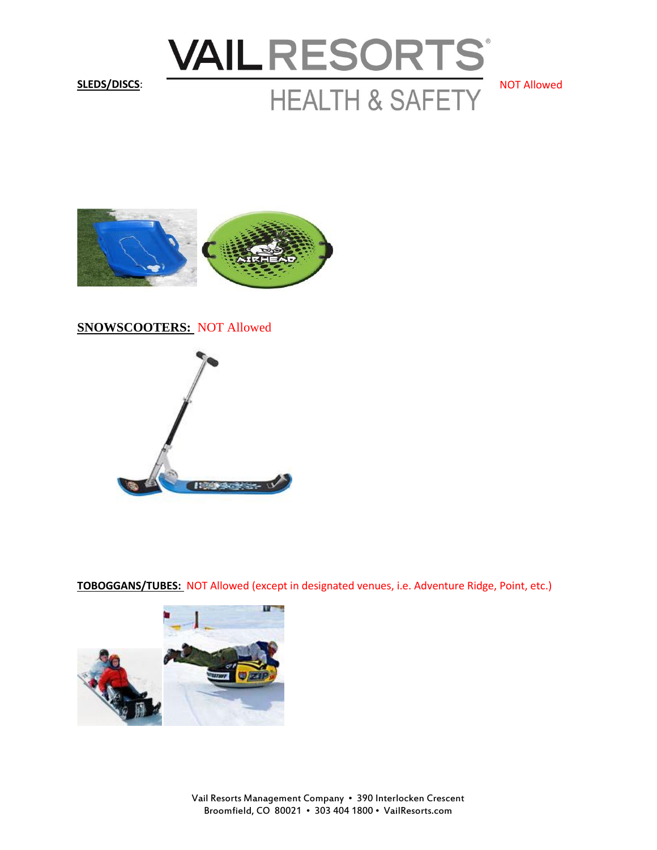



**SNOWSCOOTERS:** NOT Allowed



**TOBOGGANS/TUBES:** NOT Allowed (except in designated venues, i.e. Adventure Ridge, Point, etc.)